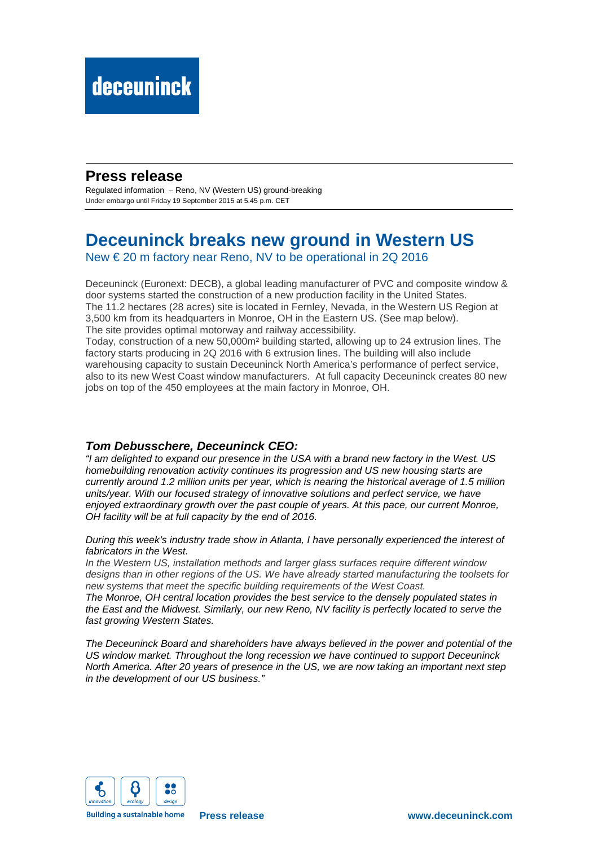## **Press release**

Regulated information – Reno, NV (Western US) ground-breaking Under embargo until Friday 19 September 2015 at 5.45 p.m. CET

# **Deceuninck breaks new ground in Western US**

New € 20 m factory near Reno, NV to be operational in 2Q 2016

Deceuninck (Euronext: DECB), a global leading manufacturer of PVC and composite window & door systems started the construction of a new production facility in the United States. The 11.2 hectares (28 acres) site is located in Fernley, Nevada, in the Western US Region at 3,500 km from its headquarters in Monroe, OH in the Eastern US. (See map below). The site provides optimal motorway and railway accessibility.

Today, construction of a new 50,000m² building started, allowing up to 24 extrusion lines. The factory starts producing in 2Q 2016 with 6 extrusion lines. The building will also include warehousing capacity to sustain Deceuninck North America's performance of perfect service, also to its new West Coast window manufacturers. At full capacity Deceuninck creates 80 new jobs on top of the 450 employees at the main factory in Monroe, OH.

### **Tom Debusschere, Deceuninck CEO:**

"I am delighted to expand our presence in the USA with a brand new factory in the West. US homebuilding renovation activity continues its progression and US new housing starts are currently around 1.2 million units per year, which is nearing the historical average of 1.5 million units/year. With our focused strategy of innovative solutions and perfect service, we have enjoyed extraordinary growth over the past couple of years. At this pace, our current Monroe, OH facility will be at full capacity by the end of 2016.

During this week's industry trade show in Atlanta, I have personally experienced the interest of fabricators in the West.

In the Western US, installation methods and larger glass surfaces require different window designs than in other regions of the US. We have already started manufacturing the toolsets for new systems that meet the specific building requirements of the West Coast.

The Monroe, OH central location provides the best service to the densely populated states in the East and the Midwest. Similarly, our new Reno, NV facility is perfectly located to serve the fast growing Western States.

The Deceuninck Board and shareholders have always believed in the power and potential of the US window market. Throughout the long recession we have continued to support Deceuninck North America. After 20 years of presence in the US, we are now taking an important next step in the development of our US business."



**Building a sustainable home**